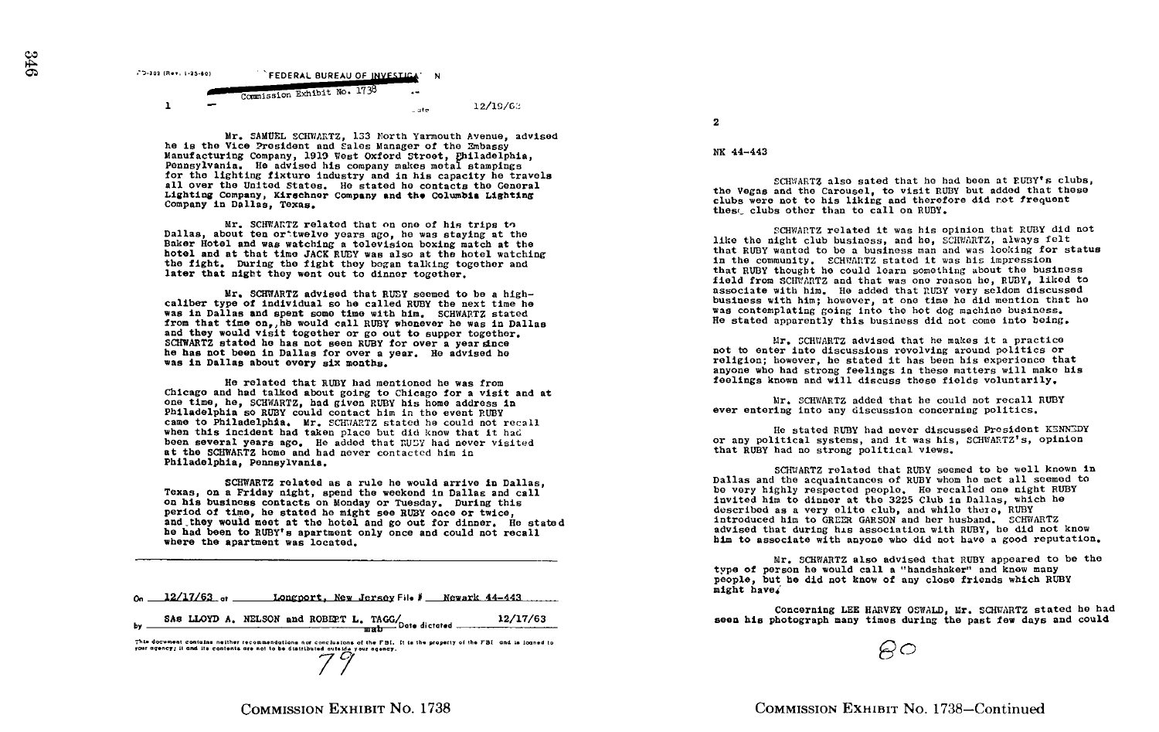

Mr, SAMUEL SCHVIARTZ, 133 North Yarmouth Avenue, advised he is the Vice President and Sales Manager of the Embassy ne is the vice-constructuring Company, 1919 Vest Oxford Street, Philadelphia, NK 44-443 Pennsylvania. He advised his company makes metal stampings<br>for the lighting fixture industry and in his capacity he travels for the lighting fixture industry and in his capacity he travels<br>all over the United States. He stated he contacts the General<br>Lighting Company, Kirschner Company and the Columbia Lighting<br>Company in Dallas, Texas.<br>Company

Mr. SCHWARTZ related that on one of his trips to Dallas, about ten or`twelve years ago, he was staying at the Baker Hotel and was watching a television boxing match at the hotel and at that time JACK RUBY was also at the hotel watching the fight, During the fight they began talking together and later that night they went out to dinner together.

Mr. SCHWARTZ advised that RUSY seemed to be a highcaliber type of individual so he called RUBY the next time he was in Dallas and spent some time with him. SCHWARTZ stated<br>from that time on, he would call RUBY whenever he was in Dallas and they would visit together or go out to supper together.<br>SCHWARTZ stated he has not seen RUBY for over a vear since SCHWARTZ stated he has not seen RUBY for over a year since<br>he has not been in Dallas for over a year. He advised he<br>me is not been in Dallas for over a year. He advised he was in Dallas about every six months.

He related that RUBY had mentioned he was from Chicago and had talked about going to Chicago for a visit and at one time, he, SCHWARTZ, had given RUBY his home address in Philadelphia so RUBY could contact him in the event RUBY came to Philadelphia. Mr. SCHWARTZ stated he could not recall when this incident had taken place but did know that it had been several years ago. He added that RUSY had never visited at the SCHWARTZ home and had never contacted him in Philadelphia, Pennsylvania .

SCHWARTZ related as <sup>a</sup> rule he would arrive in Dallas, Texas, on a Friday night, spend the weekend in Dallas and call on his business contacts on Monday or Tuesday . During this period of time, he stated he might see RUBY once or twice, and they would meet at the hotel and go out for dinner. He stated he had been to RUBY's apartment only once and could not recall where the apartment was located.

|  | $o_n = 12/17/63$ of Longport, New Jersey File $\ell$ Newark 44-443      |  |
|--|-------------------------------------------------------------------------|--|
|  | by SAS LLOYD A. NELSON and ROBET L. TAGG/ $\frac{12/17/63}{\text{sub}}$ |  |
|  |                                                                         |  |

This document contains neither recommendations not conclusions of the FBI. It is the property of the FBI and is loaned to<br>your agency; it and its contents are not to be distributed outside your agency.

2

SCHWARTZ also sated that he had been at RUBY's clubs. added that these clubs were not to his liking and therefore did not frequent thest clubs other than to call on RUBY.

SCHWARTZ related it was his opinion that RUBY did not like the night club business, and he, SCHVIARTZ, always felt that RUBY wanted to be a business man and was looking for status in the community. SCHWARTZ stated it was his impression that RUBY thought he could learn something about the business field from SCHWARTZ and that was one reason he, RUBY, liked to associate with him. He added that RUBY very seldom discussed business with him; however, at one time he did mention that he was contemplating going into the hot dog machine business. He stated apparently this business did not come into being,

Mr. SCHWARTZ advised that he makes it a practice not to enter into discussions revolving around politics or religion; however, he stated it has been his experience that anyone who had strong feelings in these matters will make his feelings known and will discuss these fields voluntarily.

Mr. SCHWARTZ added that he could not recall RUBY ever entering into any discussion concerning politics .

He stated RUBY had never discussed President KENNEDY or any political systems, and it was his, SCHWARTZ's, opinion that RUBY had no strong political views.

SCHVIARTZ related that RUBY seemed to be well known in Dallas and the acquaintances of RUDY whom he met all seemed to be very highly respected people. He recalled one night RUBY invited him to dinner at the 3225 Club in Dallas, which he described as <sup>a</sup> very elite club, and while there, RUBY introduced him to GREER GARSON and her husband. SCHWARTZ advised that during his association with RUBY, he did not know him to associate with anyone who did not have a good reputation.

Mr . SCHWARTZ also advised that RUBY appeared to be the type of person he would call <sup>a</sup> "handshaker" and knew many people, but he did not know of any close friends which RUBY might have4

Concerning LEE HARVEY OSWALD, Mr. SCHWARTZ stated he had seen his photograph many times during the past few days and could

 $AC$